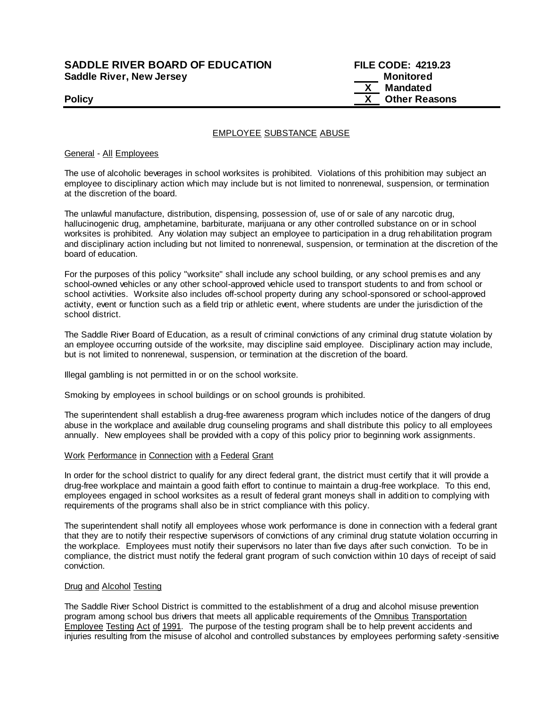# **SADDLE RIVER BOARD OF EDUCATION FILE CODE: 4219.23 Saddle River, New Jersey Monitored All Accords Accord Monitored**

 **X Mandated Policy Policy Policy Policy** *COLOREGISTS COLOREGISTS* **<b>***COLOREGISTS COLOREGISTS* 

# EMPLOYEE SUBSTANCE ABUSE

## General - All Employees

The use of alcoholic beverages in school worksites is prohibited. Violations of this prohibition may subject an employee to disciplinary action which may include but is not limited to nonrenewal, suspension, or termination at the discretion of the board.

The unlawful manufacture, distribution, dispensing, possession of, use of or sale of any narcotic drug, hallucinogenic drug, amphetamine, barbiturate, marijuana or any other controlled substance on or in school worksites is prohibited. Any violation may subject an employee to participation in a drug rehabilitation program and disciplinary action including but not limited to nonrenewal, suspension, or termination at the discretion of the board of education.

For the purposes of this policy "worksite" shall include any school building, or any school premis es and any school-owned vehicles or any other school-approved vehicle used to transport students to and from school or school activities. Worksite also includes off-school property during any school-sponsored or school-approved activity, event or function such as a field trip or athletic event, where students are under the jurisdiction of the school district.

The Saddle River Board of Education, as a result of criminal convictions of any criminal drug statute violation by an employee occurring outside of the worksite, may discipline said employee. Disciplinary action may include, but is not limited to nonrenewal, suspension, or termination at the discretion of the board.

Illegal gambling is not permitted in or on the school worksite.

Smoking by employees in school buildings or on school grounds is prohibited.

The superintendent shall establish a drug-free awareness program which includes notice of the dangers of drug abuse in the workplace and available drug counseling programs and shall distribute this policy to all employees annually. New employees shall be provided with a copy of this policy prior to beginning work assignments.

# Work Performance in Connection with a Federal Grant

In order for the school district to qualify for any direct federal grant, the district must certify that it will provide a drug-free workplace and maintain a good faith effort to continue to maintain a drug-free workplace. To this end, employees engaged in school worksites as a result of federal grant moneys shall in addition to complying with requirements of the programs shall also be in strict compliance with this policy.

The superintendent shall notify all employees whose work performance is done in connection with a federal grant that they are to notify their respective supervisors of convictions of any criminal drug statute violation occurring in the workplace. Employees must notify their supervisors no later than five days after such conviction. To be in compliance, the district must notify the federal grant program of such conviction within 10 days of receipt of said conviction.

### Drug and Alcohol Testing

The Saddle River School District is committed to the establishment of a drug and alcohol misuse prevention program among school bus drivers that meets all applicable requirements of the Omnibus Transportation Employee Testing Act of 1991. The purpose of the testing program shall be to help prevent accidents and injuries resulting from the misuse of alcohol and controlled substances by employees performing safety -sensitive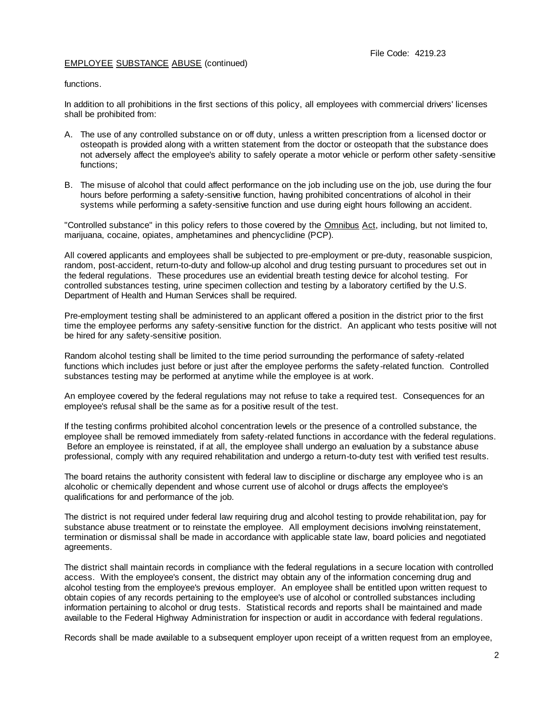# EMPLOYEE SUBSTANCE ABUSE (continued)

functions.

In addition to all prohibitions in the first sections of this policy, all employees with commercial drivers' licenses shall be prohibited from:

- A. The use of any controlled substance on or off duty, unless a written prescription from a licensed doctor or osteopath is provided along with a written statement from the doctor or osteopath that the substance does not adversely affect the employee's ability to safely operate a motor vehicle or perform other safety -sensitive functions;
- B. The misuse of alcohol that could affect performance on the job including use on the job, use during the four hours before performing a safety-sensitive function, having prohibited concentrations of alcohol in their systems while performing a safety-sensitive function and use during eight hours following an accident.

"Controlled substance" in this policy refers to those covered by the Omnibus Act, including, but not limited to, marijuana, cocaine, opiates, amphetamines and phencyclidine (PCP).

All covered applicants and employees shall be subjected to pre-employment or pre-duty, reasonable suspicion, random, post-accident, return-to-duty and follow-up alcohol and drug testing pursuant to procedures set out in the federal regulations. These procedures use an evidential breath testing device for alcohol testing. For controlled substances testing, urine specimen collection and testing by a laboratory certified by the U.S. Department of Health and Human Services shall be required.

Pre-employment testing shall be administered to an applicant offered a position in the district prior to the first time the employee performs any safety-sensitive function for the district. An applicant who tests positive will not be hired for any safety-sensitive position.

Random alcohol testing shall be limited to the time period surrounding the performance of safety -related functions which includes just before or just after the employee performs the safety -related function. Controlled substances testing may be performed at anytime while the employee is at work.

An employee covered by the federal regulations may not refuse to take a required test. Consequences for an employee's refusal shall be the same as for a positive result of the test.

If the testing confirms prohibited alcohol concentration levels or the presence of a controlled substance, the employee shall be removed immediately from safety-related functions in accordance with the federal regulations. Before an employee is reinstated, if at all, the employee shall undergo an evaluation by a substance abuse professional, comply with any required rehabilitation and undergo a return-to-duty test with verified test results.

The board retains the authority consistent with federal law to discipline or discharge any employee who is an alcoholic or chemically dependent and whose current use of alcohol or drugs affects the employee's qualifications for and performance of the job.

The district is not required under federal law requiring drug and alcohol testing to provide rehabilitation, pay for substance abuse treatment or to reinstate the employee. All employment decisions involving reinstatement, termination or dismissal shall be made in accordance with applicable state law, board policies and negotiated agreements.

The district shall maintain records in compliance with the federal regulations in a secure location with controlled access. With the employee's consent, the district may obtain any of the information concerning drug and alcohol testing from the employee's previous employer. An employee shall be entitled upon written request to obtain copies of any records pertaining to the employee's use of alcohol or controlled substances including information pertaining to alcohol or drug tests. Statistical records and reports shall be maintained and made available to the Federal Highway Administration for inspection or audit in accordance with federal regulations.

Records shall be made available to a subsequent employer upon receipt of a written request from an employee,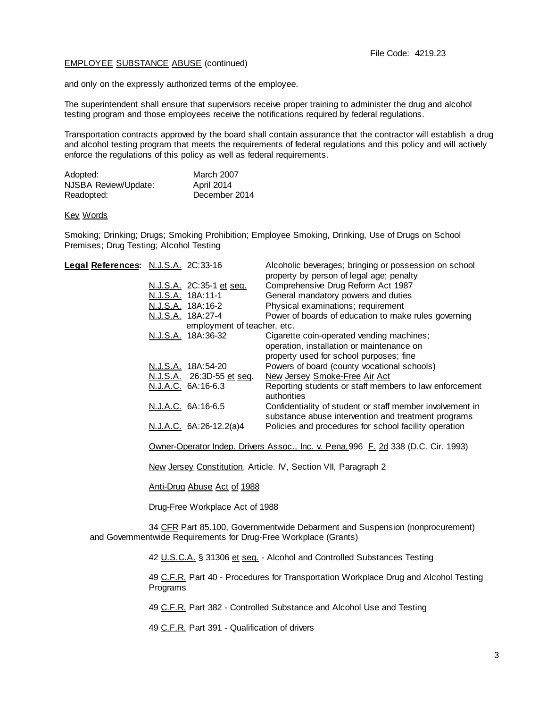# EMPLOYEE SUBSTANCE ABUSE (continued)

and only on the expressly authorized terms of the employee.

The superintendent shall ensure that supervisors receive proper training to administer the drug and alcohol testing program and those employees receive the notifications required by federal regulations.

Transportation contracts approved by the board shall contain assurance that the contractor will establish a drug and alcohol testing program that meets the requirements of federal regulations and this policy and will actively enforce the regulations of this policy as well as federal requirements.

| Adopted:             | March 2007    |
|----------------------|---------------|
| NJSBA Review/Update: | April 2014    |
| Readopted:           | December 2014 |

#### Key Words

Smoking; Drinking; Drugs; Smoking Prohibition; Employee Smoking, Drinking, Use of Drugs on School Premises; Drug Testing; Alcohol Testing

| Legal References: N.J.S.A. 2C:33-16 |                                                                                    |                             | Alcoholic beverages; bringing or possession on school     |
|-------------------------------------|------------------------------------------------------------------------------------|-----------------------------|-----------------------------------------------------------|
|                                     |                                                                                    |                             | property by person of legal age; penalty                  |
|                                     |                                                                                    | N.J.S.A. 2C:35-1 et seq.    | Comprehensive Drug Reform Act 1987                        |
|                                     |                                                                                    | N.J.S.A. 18A:11-1           | General mandatory powers and duties                       |
|                                     |                                                                                    | N.J.S.A. 18A:16-2           | Physical examinations; requirement                        |
|                                     |                                                                                    | <u>N.J.S.A.</u> 18A:27-4    | Power of boards of education to make rules governing      |
|                                     |                                                                                    | employment of teacher, etc. |                                                           |
|                                     |                                                                                    | <u>N.J.S.A.</u> 18A:36-32   | Cigarette coin-operated vending machines;                 |
|                                     |                                                                                    |                             | operation, installation or maintenance on                 |
|                                     |                                                                                    |                             | property used for school purposes; fine                   |
|                                     |                                                                                    | N.J.S.A. 18A:54-20          | Powers of board (county vocational schools)               |
|                                     |                                                                                    | N.J.S.A. 26:3D-55 et seq.   | <u>New Jersey Smoke-Free Air Act</u>                      |
|                                     |                                                                                    | N.J.A.C. 6A:16-6.3          | Reporting students or staff members to law enforcement    |
|                                     |                                                                                    |                             | authorities                                               |
|                                     |                                                                                    | N.J.A.C. 6A:16-6.5          | Confidentiality of student or staff member involvement in |
|                                     |                                                                                    |                             | substance abuse intervention and treatment programs       |
|                                     |                                                                                    | N.J.A.C. 6A:26-12.2(a)4     | Policies and procedures for school facility operation     |
|                                     |                                                                                    |                             |                                                           |
|                                     | Owner-Operator Indep. Drivers Assoc., Inc. v. Pena, 996 F. 2d 338 (D.C. Cir. 1993) |                             |                                                           |
|                                     |                                                                                    |                             |                                                           |
|                                     | New Jersey Constitution, Article. IV, Section VII, Paragraph 2                     |                             |                                                           |
|                                     |                                                                                    |                             |                                                           |

Anti-Drug Abuse Act of 1988

Drug-Free Workplace Act of 1988

34 CFR Part 85.100, Governmentwide Debarment and Suspension (nonprocurement) and Governmentwide Requirements for Drug-Free Workplace (Grants)

42 U.S.C.A. § 31306 et seq. - Alcohol and Controlled Substances Testing

49 C.F.R. Part 40 - Procedures for Transportation Workplace Drug and Alcohol Testing Programs

49 C.F.R. Part 382 - Controlled Substance and Alcohol Use and Testing

49 C.F.R. Part 391 - Qualification of drivers